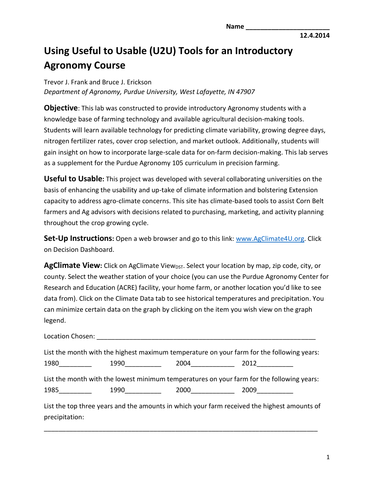**12.4.2014**

## **Using Useful to Usable (U2U) Tools for an Introductory Agronomy Course**

Trevor J. Frank and Bruce J. Erickson *Department of Agronomy, Purdue University, West Lafayette, IN 47907*

**Objective**: This lab was constructed to provide introductory Agronomy students with a knowledge base of farming technology and available agricultural decision-making tools. Students will learn available technology for predicting climate variability, growing degree days, nitrogen fertilizer rates, cover crop selection, and market outlook. Additionally, students will gain insight on how to incorporate large-scale data for on-farm decision-making. This lab serves as a supplement for the Purdue Agronomy 105 curriculum in precision farming.

**Useful to Usable:** This project was developed with several collaborating universities on the basis of enhancing the usability and up-take of climate information and bolstering Extension capacity to address agro-climate concerns. This site has climate-based tools to assist Corn Belt farmers and Ag advisors with decisions related to purchasing, marketing, and activity planning throughout the crop growing cycle.

**Set-Up Instructions:** Open a web browser and go to this link: [www.AgClimate4U.org.](http://www.agclimate4u.org/) Click on Decision Dashboard.

**AgClimate View:** Click on AgClimate View<sub>DST</sub>. Select your location by map, zip code, city, or county. Select the weather station of your choice (you can use the Purdue Agronomy Center for Research and Education (ACRE) facility, your home farm, or another location you'd like to see data from). Click on the Climate Data tab to see historical temperatures and precipitation. You can minimize certain data on the graph by clicking on the item you wish view on the graph legend.

|                 |                                                                                                                      | List the month with the highest maximum temperature on your farm for the following years:   |  |
|-----------------|----------------------------------------------------------------------------------------------------------------------|---------------------------------------------------------------------------------------------|--|
| 1990___________ | 2004 ___________                                                                                                     | $2012$ ________                                                                             |  |
|                 |                                                                                                                      | List the month with the lowest minimum temperatures on your farm for the following years:   |  |
|                 | 2000 — Марков Марково, а селото на селото на селото на селото на селото на селото на селото на селото на селото на с | 2009                                                                                        |  |
|                 |                                                                                                                      | List the top three years and the amounts in which your farm received the highest amounts of |  |

\_\_\_\_\_\_\_\_\_\_\_\_\_\_\_\_\_\_\_\_\_\_\_\_\_\_\_\_\_\_\_\_\_\_\_\_\_\_\_\_\_\_\_\_\_\_\_\_\_\_\_\_\_\_\_\_\_\_\_\_\_\_\_\_\_\_\_\_\_\_\_\_\_\_\_

precipitation: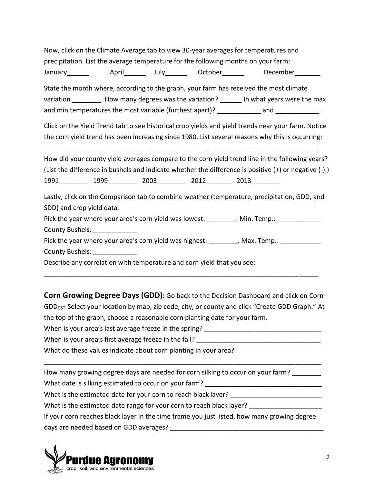|                           |                                |                                                                        | Now, click on the Climate Average tab to view 30-year averages for temperatures and                   |  |
|---------------------------|--------------------------------|------------------------------------------------------------------------|-------------------------------------------------------------------------------------------------------|--|
|                           |                                |                                                                        | precipitation. List the average temperature for the following months on your farm:                    |  |
|                           |                                |                                                                        | January_________  April__________ July________  October_________  December________                    |  |
|                           |                                |                                                                        | State the month where, according to the graph, your farm has received the most climate                |  |
|                           |                                |                                                                        | variation _________. How many degrees was the variation? _______ In what years were the max           |  |
|                           |                                |                                                                        | and min temperatures the most variable (furthest apart)? ____________ and ____________.               |  |
|                           |                                |                                                                        | Click on the Yield Trend tab to see historical crop yields and yield trends near your farm. Notice    |  |
|                           |                                |                                                                        | the corn yield trend has been increasing since 1980. List several reasons why this is occurring:      |  |
|                           |                                |                                                                        | How did your county yield averages compare to the corn yield trend line in the following years?       |  |
|                           |                                |                                                                        | (List the difference in bushels and indicate whether the difference is positive (+) or negative (-).) |  |
|                           |                                |                                                                        | 1991_____________ 1999____________ 2003___________ 2012__________ 2013__________                      |  |
|                           |                                |                                                                        | Lastly, click on the Comparison tab to combine weather (temperature, precipitation, GDD, and          |  |
| SDD) and crop yield data. |                                |                                                                        |                                                                                                       |  |
|                           |                                |                                                                        | Pick the year where your area's corn yield was lowest: ________. Min. Temp.: _____________            |  |
|                           | County Bushels: ______________ |                                                                        |                                                                                                       |  |
|                           |                                |                                                                        | Pick the year where your area's corn yield was highest: ________. Max. Temp.: ____________            |  |
|                           | County Bushels: _____________  |                                                                        |                                                                                                       |  |
|                           |                                | Describe any correlation with temperature and corn yield that you see: |                                                                                                       |  |
|                           |                                |                                                                        |                                                                                                       |  |

**Corn Growing Degree Days (GDD):** Go back to the Decision Dashboard and click on Corn GDD<sub>DST</sub>. Select your location by map, zip code, city, or county and click "Create GDD Graph." At the top of the graph, choose a reasonable corn planting date for your farm.

When is your area's last average freeze in the spring?

When is your area's first average freeze in the fall?

What do these values indicate about corn planting in your area?

How many growing degree days are needed for corn silking to occur on your farm? What date is silking estimated to occur on your farm? \_\_\_\_\_\_\_\_\_\_\_\_\_\_\_\_\_\_\_\_\_\_\_\_\_\_ What is the estimated date for your corn to reach black layer? What is the estimated date range for your corn to reach black layer? If your corn reaches black layer in the time frame you just listed, how many growing degree days are needed based on GDD averages? **EXECUTE:**  $\frac{1}{2}$ 

\_\_\_\_\_\_\_\_\_\_\_\_\_\_\_\_\_\_\_\_\_\_\_\_\_\_\_\_\_\_\_\_\_\_\_\_\_\_\_\_\_\_\_\_\_\_\_\_\_\_\_\_\_\_\_\_\_\_\_\_\_\_\_\_\_\_\_\_\_\_\_\_\_\_\_\_

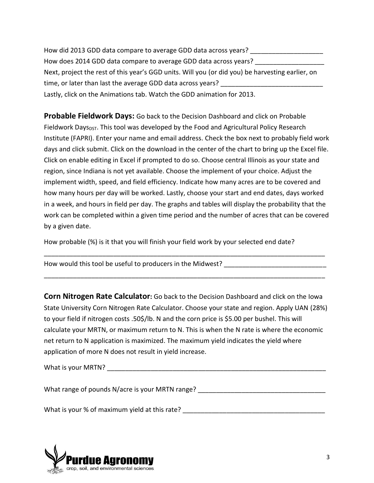How did 2013 GDD data compare to average GDD data across years? How does 2014 GDD data compare to average GDD data across years? Next, project the rest of this year's GGD units. Will you (or did you) be harvesting earlier, on time, or later than last the average GDD data across years? Lastly, click on the Animations tab. Watch the GDD animation for 2013.

**Probable Fieldwork Days:** Go back to the Decision Dashboard and click on Probable Fieldwork Days<sub>DST</sub>. This tool was developed by the Food and Agricultural Policy Research Institute (FAPRI). Enter your name and email address. Check the box next to probably field work days and click submit. Click on the download in the center of the chart to bring up the Excel file. Click on enable editing in Excel if prompted to do so. Choose central Illinois as your state and region, since Indiana is not yet available. Choose the implement of your choice. Adjust the implement width, speed, and field efficiency. Indicate how many acres are to be covered and how many hours per day will be worked. Lastly, choose your start and end dates, days worked in a week, and hours in field per day. The graphs and tables will display the probability that the work can be completed within a given time period and the number of acres that can be covered by a given date.

How probable (%) is it that you will finish your field work by your selected end date?

How would this tool be useful to producers in the Midwest?

**Corn Nitrogen Rate Calculator:** Go back to the Decision Dashboard and click on the Iowa State University Corn Nitrogen Rate Calculator. Choose your state and region. Apply UAN (28%) to your field if nitrogen costs .50\$/lb. N and the corn price is \$5.00 per bushel. This will calculate your MRTN, or maximum return to N. This is when the N rate is where the economic net return to N application is maximized. The maximum yield indicates the yield where application of more N does not result in yield increase.

\_\_\_\_\_\_\_\_\_\_\_\_\_\_\_\_\_\_\_\_\_\_\_\_\_\_\_\_\_\_\_\_\_\_\_\_\_\_\_\_\_\_\_\_\_\_\_\_\_\_\_\_\_\_\_\_\_\_\_\_\_\_\_\_\_\_\_\_\_\_\_\_\_\_\_\_\_

\_\_\_\_\_\_\_\_\_\_\_\_\_\_\_\_\_\_\_\_\_\_\_\_\_\_\_\_\_\_\_\_\_\_\_\_\_\_\_\_\_\_\_\_\_\_\_\_\_\_\_\_\_\_\_\_\_\_\_\_\_\_\_\_\_\_\_\_\_\_\_\_\_\_\_\_\_

What is your MRTN? The state of the state of the state of the state of the state of the state of the state of the state of the state of the state of the state of the state of the state of the state of the state of the stat

What range of pounds N/acre is your MRTN range? \_\_\_\_\_\_\_\_\_\_\_\_\_\_\_\_\_\_\_\_\_\_\_\_\_\_\_\_\_\_\_\_\_

What is your % of maximum yield at this rate? What is your % of maximum yield at this rate?

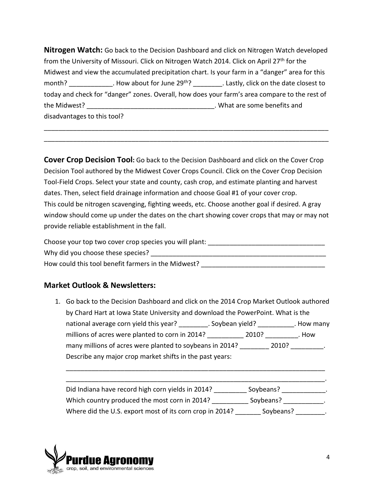**Nitrogen Watch:** Go back to the Decision Dashboard and click on Nitrogen Watch developed from the University of Missouri. Click on Nitrogen Watch 2014. Click on April 27th for the Midwest and view the accumulated precipitation chart. Is your farm in a "danger" area for this month? How about for June 29<sup>th</sup>? Lastly, click on the date closest to today and check for "danger" zones. Overall, how does your farm's area compare to the rest of the Midwest? \_\_\_\_\_\_\_\_\_\_\_\_\_\_\_\_\_\_\_\_\_\_\_\_\_\_\_\_\_\_\_\_\_\_\_. What are some benefits and disadvantages to this tool?

\_\_\_\_\_\_\_\_\_\_\_\_\_\_\_\_\_\_\_\_\_\_\_\_\_\_\_\_\_\_\_\_\_\_\_\_\_\_\_\_\_\_\_\_\_\_\_\_\_\_\_\_\_\_\_\_\_\_\_\_\_\_\_\_\_\_\_\_\_\_\_\_\_\_\_\_\_\_ \_\_\_\_\_\_\_\_\_\_\_\_\_\_\_\_\_\_\_\_\_\_\_\_\_\_\_\_\_\_\_\_\_\_\_\_\_\_\_\_\_\_\_\_\_\_\_\_\_\_\_\_\_\_\_\_\_\_\_\_\_\_\_\_\_\_\_\_\_\_\_\_\_\_\_\_\_\_

**Cover Crop Decision Tool:** Go back to the Decision Dashboard and click on the Cover Crop Decision Tool authored by the Midwest Cover Crops Council. Click on the Cover Crop Decision Tool-Field Crops. Select your state and county, cash crop, and estimate planting and harvest dates. Then, select field drainage information and choose Goal #1 of your cover crop. This could be nitrogen scavenging, fighting weeds, etc. Choose another goal if desired. A gray window should come up under the dates on the chart showing cover crops that may or may not provide reliable establishment in the fall.

Choose your top two cover crop species you will plant: Why did you choose these species? \_\_\_\_\_\_\_\_\_\_\_\_\_\_\_\_\_\_\_\_\_\_\_\_\_\_\_\_\_\_\_\_\_\_\_\_\_\_\_\_\_\_\_\_\_\_\_\_ How could this tool benefit farmers in the Midwest?

## **Market Outlook & Newsletters:**

1. Go back to the Decision Dashboard and click on the 2014 Crop Market Outlook authored by Chard Hart at Iowa State University and download the PowerPoint. What is the national average corn yield this year? \_\_\_\_\_\_\_\_\_. Soybean yield? \_\_\_\_\_\_\_\_\_\_\_. How many millions of acres were planted to corn in 2014? \_\_\_\_\_\_\_\_\_\_\_ 2010? \_\_\_\_\_\_\_\_\_. How many millions of acres were planted to soybeans in 2014? \_\_\_\_\_\_\_\_\_\_ 2010? \_\_\_\_\_\_\_\_ Describe any major crop market shifts in the past years:

| Did Indiana have record high corn yields in 2014?        | Soybeans? |  |
|----------------------------------------------------------|-----------|--|
| Which country produced the most corn in 2014?            | Soybeans? |  |
| Where did the U.S. export most of its corn crop in 2014? | Soybeans? |  |

\_\_\_\_\_\_\_\_\_\_\_\_\_\_\_\_\_\_\_\_\_\_\_\_\_\_\_\_\_\_\_\_\_\_\_\_\_\_\_\_\_\_\_\_\_\_\_\_\_\_\_\_\_\_\_\_\_\_\_\_\_\_\_\_\_\_\_\_\_\_\_

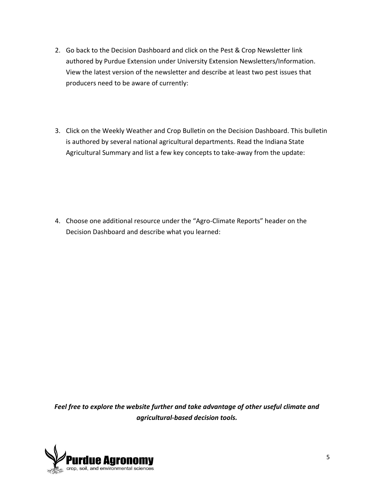- 2. Go back to the Decision Dashboard and click on the Pest & Crop Newsletter link authored by Purdue Extension under University Extension Newsletters/Information. View the latest version of the newsletter and describe at least two pest issues that producers need to be aware of currently:
- 3. Click on the Weekly Weather and Crop Bulletin on the Decision Dashboard. This bulletin is authored by several national agricultural departments. Read the Indiana State Agricultural Summary and list a few key concepts to take-away from the update:

4. Choose one additional resource under the "Agro-Climate Reports" header on the Decision Dashboard and describe what you learned:

*Feel free to explore the website further and take advantage of other useful climate and agricultural-based decision tools.*